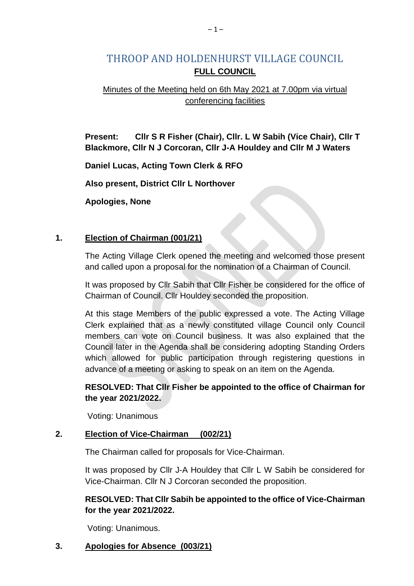# THROOP AND HOLDENHURST VILLAGE COUNCIL **FULL COUNCIL**

# Minutes of the Meeting held on 6th May 2021 at 7.00pm via virtual conferencing facilities

**Present: Cllr S R Fisher (Chair), Cllr. L W Sabih (Vice Chair), Cllr T Blackmore, Cllr N J Corcoran, Cllr J-A Houldey and Cllr M J Waters**

**Daniel Lucas, Acting Town Clerk & RFO**

**Also present, District Cllr L Northover**

**Apologies, None**

#### **1. Election of Chairman (001/21)**

The Acting Village Clerk opened the meeting and welcomed those present and called upon a proposal for the nomination of a Chairman of Council.

It was proposed by Cllr Sabih that Cllr Fisher be considered for the office of Chairman of Council. Cllr Houldey seconded the proposition.

At this stage Members of the public expressed a vote. The Acting Village Clerk explained that as a newly constituted village Council only Council members can vote on Council business. It was also explained that the Council later in the Agenda shall be considering adopting Standing Orders which allowed for public participation through registering questions in advance of a meeting or asking to speak on an item on the Agenda.

# **RESOLVED: That Cllr Fisher be appointed to the office of Chairman for the year 2021/2022.**

Voting: Unanimous

## **2. Election of Vice-Chairman (002/21)**

The Chairman called for proposals for Vice-Chairman.

It was proposed by Cllr J-A Houldey that Cllr L W Sabih be considered for Vice-Chairman. Cllr N J Corcoran seconded the proposition.

## **RESOLVED: That Cllr Sabih be appointed to the office of Vice-Chairman for the year 2021/2022.**

Voting: Unanimous.

## **3. Apologies for Absence (003/21)**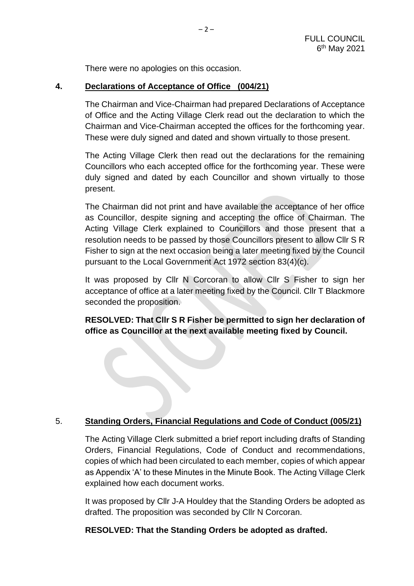There were no apologies on this occasion.

#### **4. Declarations of Acceptance of Office (004/21)**

The Chairman and Vice-Chairman had prepared Declarations of Acceptance of Office and the Acting Village Clerk read out the declaration to which the Chairman and Vice-Chairman accepted the offices for the forthcoming year. These were duly signed and dated and shown virtually to those present.

The Acting Village Clerk then read out the declarations for the remaining Councillors who each accepted office for the forthcoming year. These were duly signed and dated by each Councillor and shown virtually to those present.

The Chairman did not print and have available the acceptance of her office as Councillor, despite signing and accepting the office of Chairman. The Acting Village Clerk explained to Councillors and those present that a resolution needs to be passed by those Councillors present to allow Cllr S R Fisher to sign at the next occasion being a later meeting fixed by the Council pursuant to the Local Government Act 1972 section 83(4)(c).

It was proposed by Cllr N Corcoran to allow Cllr S Fisher to sign her acceptance of office at a later meeting fixed by the Council. Cllr T Blackmore seconded the proposition.

**RESOLVED: That Cllr S R Fisher be permitted to sign her declaration of office as Councillor at the next available meeting fixed by Council.**

## 5. **Standing Orders, Financial Regulations and Code of Conduct (005/21)**

The Acting Village Clerk submitted a brief report including drafts of Standing Orders, Financial Regulations, Code of Conduct and recommendations, copies of which had been circulated to each member, copies of which appear as Appendix 'A' to these Minutes in the Minute Book. The Acting Village Clerk explained how each document works.

It was proposed by Cllr J-A Houldey that the Standing Orders be adopted as drafted. The proposition was seconded by Cllr N Corcoran.

#### **RESOLVED: That the Standing Orders be adopted as drafted.**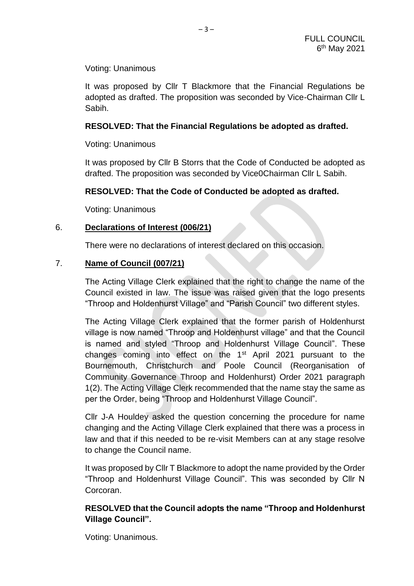Voting: Unanimous

It was proposed by Cllr T Blackmore that the Financial Regulations be adopted as drafted. The proposition was seconded by Vice-Chairman Cllr L Sabih.

#### **RESOLVED: That the Financial Regulations be adopted as drafted.**

Voting: Unanimous

It was proposed by Cllr B Storrs that the Code of Conducted be adopted as drafted. The proposition was seconded by Vice0Chairman Cllr L Sabih.

## **RESOLVED: That the Code of Conducted be adopted as drafted.**

Voting: Unanimous

#### 6. **Declarations of Interest (006/21)**

There were no declarations of interest declared on this occasion.

#### 7. **Name of Council (007/21)**

The Acting Village Clerk explained that the right to change the name of the Council existed in law. The issue was raised given that the logo presents "Throop and Holdenhurst Village" and "Parish Council" two different styles.

The Acting Village Clerk explained that the former parish of Holdenhurst village is now named "Throop and Holdenhurst village" and that the Council is named and styled "Throop and Holdenhurst Village Council". These changes coming into effect on the 1st April 2021 pursuant to the Bournemouth, Christchurch and Poole Council (Reorganisation of Community Governance Throop and Holdenhurst) Order 2021 paragraph 1(2). The Acting Village Clerk recommended that the name stay the same as per the Order, being "Throop and Holdenhurst Village Council".

Cllr J-A Houldey asked the question concerning the procedure for name changing and the Acting Village Clerk explained that there was a process in law and that if this needed to be re-visit Members can at any stage resolve to change the Council name.

It was proposed by Cllr T Blackmore to adopt the name provided by the Order "Throop and Holdenhurst Village Council". This was seconded by Cllr N Corcoran.

# **RESOLVED that the Council adopts the name "Throop and Holdenhurst Village Council".**

Voting: Unanimous.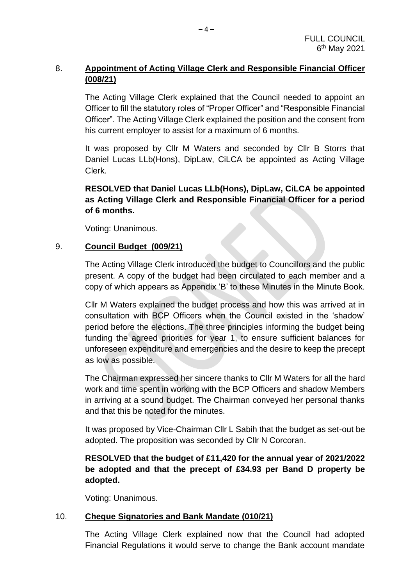# 8. **Appointment of Acting Village Clerk and Responsible Financial Officer (008/21)**

The Acting Village Clerk explained that the Council needed to appoint an Officer to fill the statutory roles of "Proper Officer" and "Responsible Financial Officer". The Acting Village Clerk explained the position and the consent from his current employer to assist for a maximum of 6 months.

It was proposed by Cllr M Waters and seconded by Cllr B Storrs that Daniel Lucas LLb(Hons), DipLaw, CiLCA be appointed as Acting Village Clerk.

# **RESOLVED that Daniel Lucas LLb(Hons), DipLaw, CiLCA be appointed as Acting Village Clerk and Responsible Financial Officer for a period of 6 months.**

Voting: Unanimous.

# 9. **Council Budget (009/21)**

The Acting Village Clerk introduced the budget to Councillors and the public present. A copy of the budget had been circulated to each member and a copy of which appears as Appendix 'B' to these Minutes in the Minute Book.

Cllr M Waters explained the budget process and how this was arrived at in consultation with BCP Officers when the Council existed in the 'shadow' period before the elections. The three principles informing the budget being funding the agreed priorities for year 1, to ensure sufficient balances for unforeseen expenditure and emergencies and the desire to keep the precept as low as possible.

The Chairman expressed her sincere thanks to Cllr M Waters for all the hard work and time spent in working with the BCP Officers and shadow Members in arriving at a sound budget. The Chairman conveyed her personal thanks and that this be noted for the minutes.

It was proposed by Vice-Chairman Cllr L Sabih that the budget as set-out be adopted. The proposition was seconded by Cllr N Corcoran.

# **RESOLVED that the budget of £11,420 for the annual year of 2021/2022 be adopted and that the precept of £34.93 per Band D property be adopted.**

Voting: Unanimous.

# 10. **Cheque Signatories and Bank Mandate (010/21)**

The Acting Village Clerk explained now that the Council had adopted Financial Regulations it would serve to change the Bank account mandate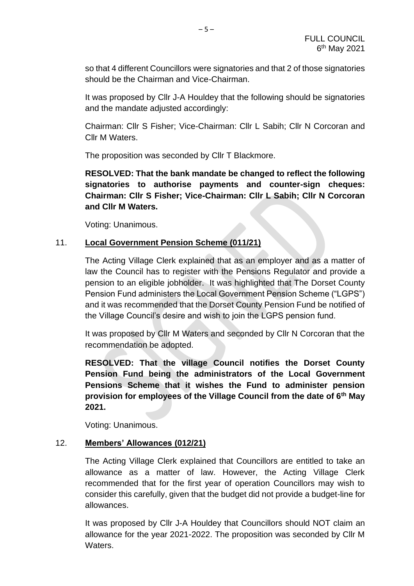so that 4 different Councillors were signatories and that 2 of those signatories should be the Chairman and Vice-Chairman.

It was proposed by Cllr J-A Houldey that the following should be signatories and the mandate adjusted accordingly:

Chairman: Cllr S Fisher; Vice-Chairman: Cllr L Sabih; Cllr N Corcoran and Cllr M Waters.

The proposition was seconded by Cllr T Blackmore.

**RESOLVED: That the bank mandate be changed to reflect the following signatories to authorise payments and counter-sign cheques: Chairman: Cllr S Fisher; Vice-Chairman: Cllr L Sabih; Cllr N Corcoran and Cllr M Waters.**

Voting: Unanimous.

## 11. **Local Government Pension Scheme (011/21)**

The Acting Village Clerk explained that as an employer and as a matter of law the Council has to register with the Pensions Regulator and provide a pension to an eligible jobholder. It was highlighted that The Dorset County Pension Fund administers the Local Government Pension Scheme ("LGPS") and it was recommended that the Dorset County Pension Fund be notified of the Village Council's desire and wish to join the LGPS pension fund.

It was proposed by Cllr M Waters and seconded by Cllr N Corcoran that the recommendation be adopted.

**RESOLVED: That the village Council notifies the Dorset County Pension Fund being the administrators of the Local Government Pensions Scheme that it wishes the Fund to administer pension provision for employees of the Village Council from the date of 6th May 2021.**

Voting: Unanimous.

## 12. **Members' Allowances (012/21)**

The Acting Village Clerk explained that Councillors are entitled to take an allowance as a matter of law. However, the Acting Village Clerk recommended that for the first year of operation Councillors may wish to consider this carefully, given that the budget did not provide a budget-line for allowances.

It was proposed by Cllr J-A Houldey that Councillors should NOT claim an allowance for the year 2021-2022. The proposition was seconded by Cllr M Waters.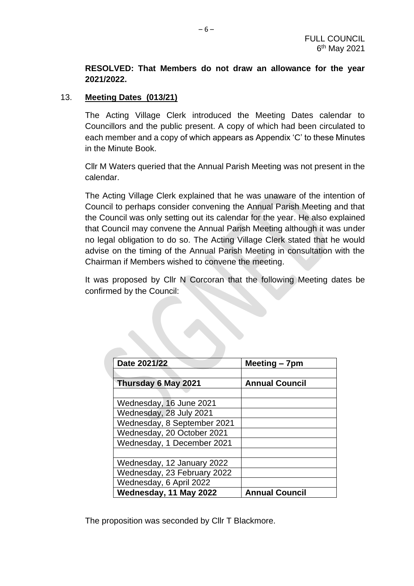## **RESOLVED: That Members do not draw an allowance for the year 2021/2022.**

#### 13. **Meeting Dates (013/21)**

The Acting Village Clerk introduced the Meeting Dates calendar to Councillors and the public present. A copy of which had been circulated to each member and a copy of which appears as Appendix 'C' to these Minutes in the Minute Book.

Cllr M Waters queried that the Annual Parish Meeting was not present in the calendar.

The Acting Village Clerk explained that he was unaware of the intention of Council to perhaps consider convening the Annual Parish Meeting and that the Council was only setting out its calendar for the year. He also explained that Council may convene the Annual Parish Meeting although it was under no legal obligation to do so. The Acting Village Clerk stated that he would advise on the timing of the Annual Parish Meeting in consultation with the Chairman if Members wished to convene the meeting.

It was proposed by Cllr N Corcoran that the following Meeting dates be confirmed by the Council:

| Date 2021/22                | Meeting - 7pm         |
|-----------------------------|-----------------------|
|                             |                       |
| Thursday 6 May 2021         | <b>Annual Council</b> |
|                             |                       |
| Wednesday, 16 June 2021     |                       |
| Wednesday, 28 July 2021     |                       |
| Wednesday, 8 September 2021 |                       |
| Wednesday, 20 October 2021  |                       |
| Wednesday, 1 December 2021  |                       |
|                             |                       |
| Wednesday, 12 January 2022  |                       |
| Wednesday, 23 February 2022 |                       |
| Wednesday, 6 April 2022     |                       |
| Wednesday, 11 May 2022      | <b>Annual Council</b> |

The proposition was seconded by Cllr T Blackmore.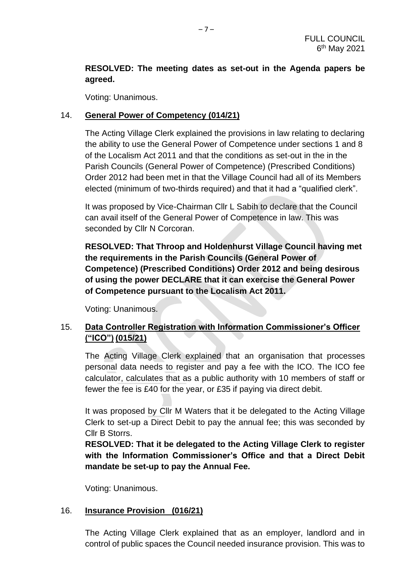# **RESOLVED: The meeting dates as set-out in the Agenda papers be agreed.**

Voting: Unanimous.

## 14. **General Power of Competency (014/21)**

The Acting Village Clerk explained the provisions in law relating to declaring the ability to use the General Power of Competence under sections 1 and 8 of the Localism Act 2011 and that the conditions as set-out in the in the Parish Councils (General Power of Competence) (Prescribed Conditions) Order 2012 had been met in that the Village Council had all of its Members elected (minimum of two-thirds required) and that it had a "qualified clerk".

It was proposed by Vice-Chairman Cllr L Sabih to declare that the Council can avail itself of the General Power of Competence in law. This was seconded by Cllr N Corcoran.

**RESOLVED: That Throop and Holdenhurst Village Council having met the requirements in the Parish Councils (General Power of Competence) (Prescribed Conditions) Order 2012 and being desirous of using the power DECLARE that it can exercise the General Power of Competence pursuant to the Localism Act 2011.**

Voting: Unanimous.

# 15. **Data Controller Registration with Information Commissioner's Officer ("ICO") (015/21)**

The Acting Village Clerk explained that an organisation that processes personal data needs to register and pay a fee with the ICO. The ICO fee calculator, calculates that as a public authority with 10 members of staff or fewer the fee is £40 for the year, or £35 if paying via direct debit.

It was proposed by Cllr M Waters that it be delegated to the Acting Village Clerk to set-up a Direct Debit to pay the annual fee; this was seconded by Cllr B Storrs.

**RESOLVED: That it be delegated to the Acting Village Clerk to register with the Information Commissioner's Office and that a Direct Debit mandate be set-up to pay the Annual Fee.**

Voting: Unanimous.

## 16. **Insurance Provision (016/21)**

The Acting Village Clerk explained that as an employer, landlord and in control of public spaces the Council needed insurance provision. This was to